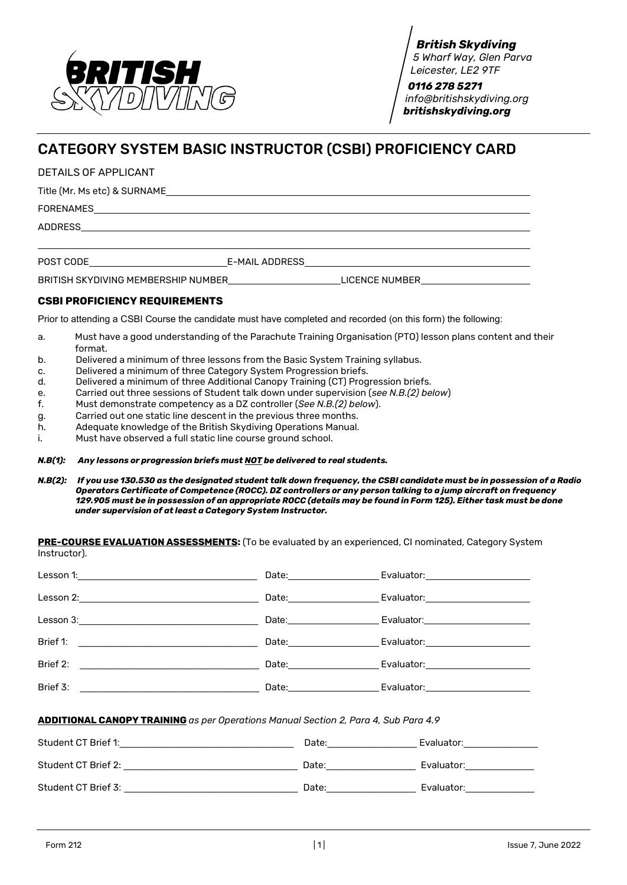

*British Skydiving 5 Wharf Way, Glen Parva Leicester, LE2 9TF*

 *0116 278 5271 [info@britishskydiving.org](mailto:info@britishskydiving.org) britishskydiving.org*

## CATEGORY SYSTEM BASIC INSTRUCTOR (CSBI) PROFICIENCY CARD

DETAILS OF APPLICANT

Title (Mr. Ms etc) & SURNAME

FORENAMES

ADDRESS

POST CODE E-MAIL ADDRESS

BRITISH SKYDIVING MEMBERSHIP NUMBER\_\_\_\_\_\_\_\_\_\_\_\_\_\_\_\_\_\_\_\_\_\_\_\_\_\_\_LICENCE NUMBER\_\_\_\_\_\_

## **CSBI PROFICIENCY REQUIREMENTS**

Prior to attending a CSBI Course the candidate must have completed and recorded (on this form) the following:

- a. Must have a good understanding of the Parachute Training Organisation (PTO) lesson plans content and their format.
- b. Delivered a minimum of three lessons from the Basic System Training syllabus.
- c. Delivered a minimum of three Category System Progression briefs.
- d. Delivered a minimum of three Additional Canopy Training (CT) Progression briefs.
- e. Carried out three sessions of Student talk down under supervision (*see N.B.(2) below*)
- f. Must demonstrate competency as a DZ controller (*See N.B.(2) below*).
- g. Carried out one static line descent in the previous three months.
- h. Adequate knowledge of the British Skydiving Operations Manual.
- i. Must have observed a full static line course ground school.

*N.B(1): Any lessons or progression briefs must NOT be delivered to real students.*

*N.B(2): If you use 130.530 as the designated student talk down frequency, the CSBI candidate must be in possession of a Radio Operators Certificate of Competence (ROCC). DZ controllers or any person talking to a jump aircraft on frequency 129.905 must be in possession of an appropriate ROCC (details may be found in Form 125). Either task must be done under supervision of at least a Category System Instructor.*

**PRE-COURSE EVALUATION ASSESSMENTS:** (To be evaluated by an experienced, CI nominated, Category System Instructor).

|                                                                                                                                                                                                                                                  |                                                                                                                                                                                                                                | Date: Evaluator: Evaluator:    |
|--------------------------------------------------------------------------------------------------------------------------------------------------------------------------------------------------------------------------------------------------|--------------------------------------------------------------------------------------------------------------------------------------------------------------------------------------------------------------------------------|--------------------------------|
| Lesson 2:                                                                                                                                                                                                                                        |                                                                                                                                                                                                                                | Evaluator: 2000                |
| Lesson 3:                                                                                                                                                                                                                                        | Date:________________                                                                                                                                                                                                          | Evaluator: <b>Example 1999</b> |
| Brief 1:<br><u> 1980 - Johann Stein, fransk kommunist for de format for de format for de format for de format for de format for de format for de format for de format for de format for de format for de format for de format for de format </u> |                                                                                                                                                                                                                                | Evaluator: 2000                |
| Brief 2:                                                                                                                                                                                                                                         | Date: the contract of the contract of the contract of the contract of the contract of the contract of the contract of the contract of the contract of the contract of the contract of the contract of the contract of the cont | Evaluator: 2000                |
| Brief 3:                                                                                                                                                                                                                                         |                                                                                                                                                                                                                                | Evaluator: 2000                |

**ADDITIONAL CANOPY TRAINING** *as per Operations Manual Section 2, Para 4, Sub Para 4.9*

| Student CT Brief 1: | Date: | Evaluator: |
|---------------------|-------|------------|
| Student CT Brief 2: | Date: | Evaluator: |
| Student CT Brief 3: | Date: | Evaluator: |